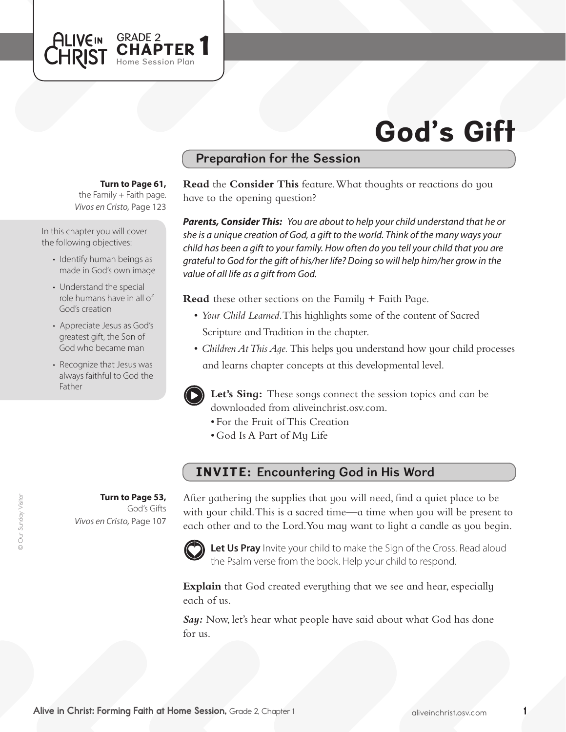# God's Gift

### Preparation for the Session

#### **Turn to Page 61,**

GRADE 2<br>CHAPTER 1

Home Session Plan

the Family  $+$  Faith page. *Vivos en Cristo,* Page 123

In this chapter you will cover the following objectives:

**ALIVEIN** 

- Identify human beings as made in God's own image
- Understand the special role humans have in all of God's creation
- Appreciate Jesus as God's greatest gift, the Son of God who became man
- Recognize that Jesus was always faithful to God the Father

**Turn to Page 53,** God's Gifts

*Vivos en Cristo,* Page 107

**Read** the **Consider This** feature. What thoughts or reactions do you have to the opening question?

*Parents, Consider This: You are about to help your child understand that he or she is a unique creation of God, a gift to the world. Think of the many ways your child has been a gift to your family. How often do you tell your child that you are grateful to God for the gift of his/her life? Doing so will help him/her grow in the value of all life as a gift from God.*

**Read** these other sections on the Family + Faith Page.

- • *Your Child Learned*. This highlights some of the content of Sacred Scripture and Tradition in the chapter.
- *Children At This Age.* This helps you understand how your child processes and learns chapter concepts at this developmental level.



**Let's Sing:** These songs connect the session topics and can be downloaded from aliveinchrist.osv.com.

- • For the Fruit ofThis Creation
- God Is A Part of My Life

## INVITE: Encountering God in His Word

After gathering the supplies that you will need, find a quiet place to be with your child. This is a sacred time—a time when you will be present to each other and to the Lord.You may want to light a candle as you begin.



**Let Us Pray** Invite your child to make the Sign of the Cross. Read aloud the Psalm verse from the book. Help your child to respond.

**Explain** that God created everything that we see and hear, especially each of us.

Say: Now, let's hear what people have said about what God has done for us.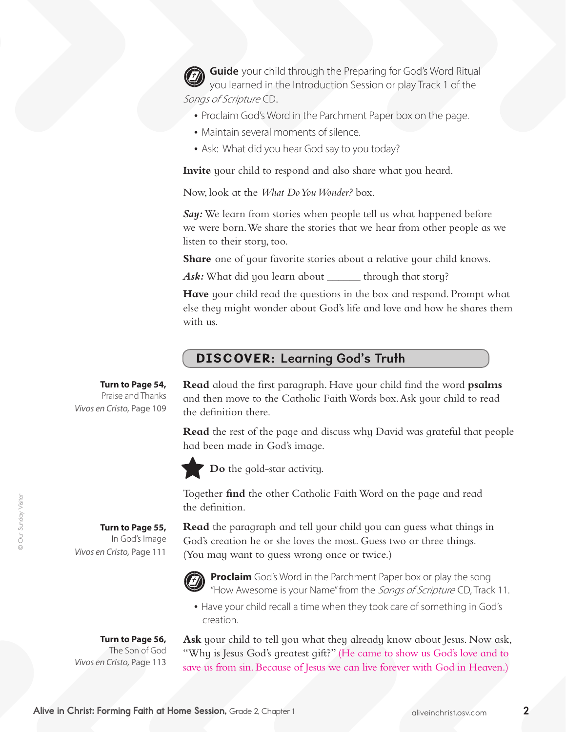**Guide** your child through the Preparing for God's Word Ritual you learned in the Introduction Session or play Track 1 of the Songs of Scripture CD.

- Proclaim God's Word in the Parchment Paper box on the page.
- Maintain several moments of silence.
- Ask: What did you hear God say to you today?

**Invite** your child to respond and also share what you heard.

Now, look at the *What Do You Wonder?* box.

*Say:* We learn from stories when people tell us what happened before we were born. We share the stories that we hear from other people as we listen to their story, too.

**Share** one of your favorite stories about a relative your child knows.

Ask: What did you learn about \_\_\_\_\_\_\_ through that story?

**Have** your child read the questions in the box and respond. Prompt what else they might wonder about God's life and love and how he shares them with us.

### DISCOVER: Learning God's Truth

**Turn to Page 54,** Praise and Thanks *Vivos en Cristo,* Page 109

> **Turn to Page 55,**  In God's Image

*Vivos en Cristo,* Page 111

**Read** aloud the first paragraph. Have your child find the word **psalms**  and then move to the Catholic Faith Words box. Ask your child to read the definition there.

**Read** the rest of the page and discuss why David was grateful that people had been made in God's image.



**Do** the gold-star activity.

Together **find** the other Catholic FaithWord on the page and read the definition.

**Read** the paragraph and tell your child you can guess what things in God's creation he or she loves the most. Guess two or three things. (You may want to guess wrong once or twice.)



**Proclaim** God's Word in the Parchment Paper box or play the song "How Awesome is your Name" from the Songs of Scripture CD, Track 11.

• Have your child recall a time when they took care of something in God's creation.

**Turn to Page 56,** The Son of God *Vivos en Cristo,* Page 113 **Ask** your child to tell you what they already know about Jesus. Now ask, "Why is Jesus God's greatest gift?" (He came to show us God's love and to save us from sin. Because of Jesus we can live forever with God in Heaven.)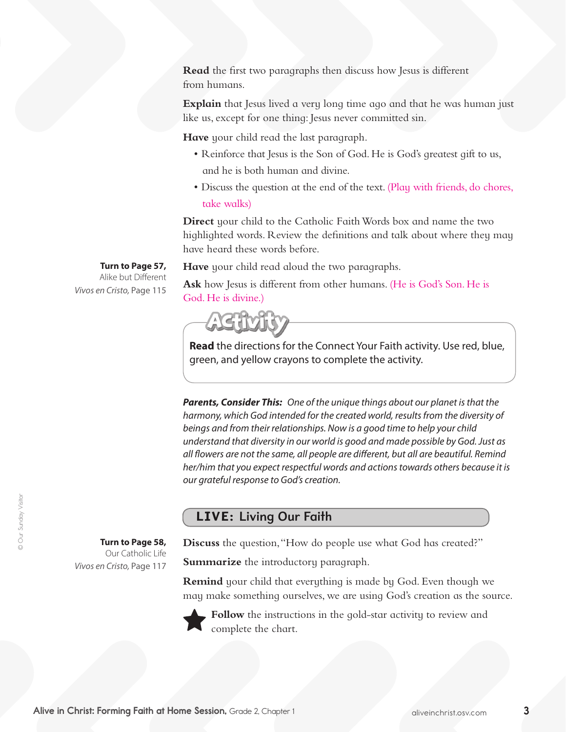**Read** the first two paragraphs then discuss how Jesus is different from humans.

**Explain** that Jesus lived a very long time ago and that he was human just like us, except for one thing: Jesus never committed sin.

**Have** your child read the last paragraph.

- Reinforce that Jesus is the Son of God. He is God's greatest gift to us, and he is both human and divine.
- Discuss the question at the end of the text. (Play with friends, do chores, take walks)

**Direct** your child to the Catholic Faith Words box and name the two highlighted words. Review the definitions and talk about where they may have heard these words before.

**Have** your child read aloud the two paragraphs.

**Turn to Page 57,** Alike but Different *Vivos en Cristo,* Page 115

> **Turn to Page 58,**  Our Catholic Life

*Vivos en Cristo,* Page 117

Ask how Jesus is different from other humans. (He is God's Son. He is God.He is divine.)



**Read** the directions for the Connect Your Faith activity. Use red, blue, green, and yellow crayons to complete the activity.

*Parents, Consider This: One of the unique things about our planet is that the harmony, which God intended for the created world, results from the diversity of beings and from their relationships. Now is a good time to help your child understand that diversity in our world is good and made possible by God. Just as all flowers are not the same, all people are different, but all are beautiful. Remind her/him that you expect respectful words and actions towards others because it is our grateful response to God's creation.*

#### LIVE: Living Our Faith

**Discuss** the question, "How do people use what God has created?"

**Summarize** the introductory paragraph.

**Remind** your child that everything is made by God. Even though we may make something ourselves, we are using God's creation as the source.



**Follow** the instructions in the gold-star activity to review and complete the chart.